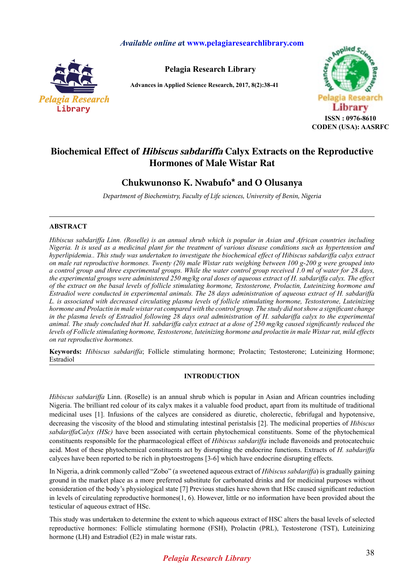## *Available online a***t www.pelagiaresearchlibrary.com**



**Pelagia Research Library**

**Advances in Applied Science Research, 2017, 8(2):38-41**



# **Biochemical Effect of Hibiscus sabdariffa Calyx Extracts on the Reproductive Hormones of Male Wistar Rat**

## **Chukwunonso K. Nwabufo\* and O Olusanya**

*Department of Biochemistry, Faculty of Life sciences, University of Benin, Nigeria* 

## **ABSTRACT**

*Hibiscus sabdariffa Linn. (Roselle) is an annual shrub which is popular in Asian and African countries including Nigeria. It is used as a medicinal plant for the treatment of various disease conditions such as hypertension and hyperlipidemia.. This study was undertaken to investigate the biochemical effect of Hibiscus sabdariffa calyx extract on male rat reproductive hormones. Twenty (20) male Wistar rats weighing between 100 g-200 g were grouped into a control group and three experimental groups. While the water control group received 1.0 ml of water for 28 days, the experimental groups were administered 250 mg/kg oral doses of aqueous extract of H. sabdariffa calyx. The effect of the extract on the basal levels of follicle stimulating hormone, Testosterone, Prolactin, Luteinizing hormone and Estradiol were conducted in experimental animals. The 28 days administration of aqueous extract of H. sabdariffa L. is associated with decreased circulating plasma levels of follicle stimulating hormone, Testosterone, Luteinizing hormone and Prolactin in male wistar rat compared with the control group. The study did not show a significant change*  in the plasma levels of Estradiol following 28 days oral administration of H. sabdariffa calyx to the experimental *animal. The study concluded that H. sabdariffa calyx extract at a dose of 250 mg/kg caused significantly reduced the levels of Follicle stimulating hormone, Testosterone, luteinizing hormone and prolactin in male Wistar rat, mild effects on rat reproductive hormones.*

**Keywords:** *Hibiscus sabdariffa*; Follicle stimulating hormone; Prolactin; Testosterone; Luteinizing Hormone; Estradiol

## **INTRODUCTION**

*Hibiscus sabdariffa* Linn. (Roselle) is an annual shrub which is popular in Asian and African countries including Nigeria. The brilliant red colour of its calyx makes it a valuable food product, apart from its multitude of traditional medicinal uses [1]. Infusions of the calyces are considered as diuretic, cholerectic, febrifugal and hypotensive, decreasing the viscosity of the blood and stimulating intestinal peristalsis [2]. The medicinal properties of *Hibiscus sabdariffaCalyx (HSc)* have been associated with certain phytochemical constituents. Some of the phytochemical constituents responsible for the pharmacological effect of *Hibiscus sabdariffa* include flavonoids and protocatechuic acid. Most of these phytochemical constituents act by disrupting the endocrine functions. Extracts of *H. sabdariffa*  calyces have been reported to be rich in phytoestrogens [3-6] which have endocrine disrupting effects.

In Nigeria, a drink commonly called "Zobo" (a sweetened aqueous extract of *Hibiscus sabdariffa*) is gradually gaining ground in the market place as a more preferred substitute for carbonated drinks and for medicinal purposes without consideration of the body's physiological state [7] Previous studies have shown that HSc caused significant reduction in levels of circulating reproductive hormones $(1, 6)$ . However, little or no information have been provided about the testicular of aqueous extract of HSc.

This study was undertaken to determine the extent to which aqueous extract of HSC alters the basal levels of selected reproductive hormones: Follicle stimulating hormone (FSH), Prolactin (PRL), Testosterone (TST), Luteinizing hormone (LH) and Estradiol (E2) in male wistar rats.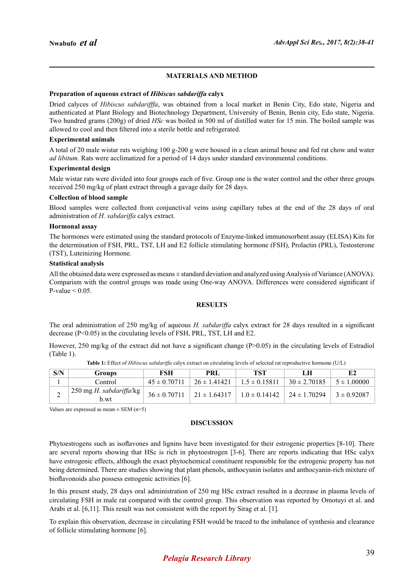### **MATERIALS AND METHOD**

#### **Preparation of aqueous extract of** *Hibiscus sabdariffa* **calyx**

Dried calyces of *Hibiscus sabdarifffa*, was obtained from a local market in Benin City, Edo state, Nigeria and authenticated at Plant Biology and Biotechnology Department, University of Benin, Benin city, Edo state, Nigeria. Two hundred grams (200g) of dried *HSc* was boiled in 500 ml of distilled water for 15 min. The boiled sample was allowed to cool and then filtered into a sterile bottle and refrigerated.

#### **Experimental animals**

A total of 20 male wistar rats weighing 100 g-200 g were housed in a clean animal house and fed rat chow and water *ad libitum*. Rats were acclimatized for a period of 14 days under standard environmental conditions.

#### **Experimental design**

Male wistar rats were divided into four groups each of five. Group one is the water control and the other three groups received 250 mg/kg of plant extract through a gavage daily for 28 days.

#### **Collection of blood sample**

Blood samples were collected from conjunctival veins using capillary tubes at the end of the 28 days of oral administration of *H. sabdariffa* calyx extract.

#### **Hormonal assay**

The hormones were estimated using the standard protocols of Enzyme-linked immunosorbent assay (ELISA) Kits for the determination of FSH, PRL, TST, LH and E2 follicle stimulating hormone (FSH), Prolactin (PRL), Testosterone (TST), Luteinizing Hormone.

#### **Statistical analysis**

All the obtained data were expressed as means ± standard deviation and analyzed using Analysis of Variance (ANOVA). Comparism with the control groups was made using One-way ANOVA. Differences were considered significant if P-value  $< 0.05$ 

#### **RESULTS**

The oral administration of 250 mg/kg of aqueous *H. sabdariffa* calyx extract for 28 days resulted in a significant decrease (P<0.05) in the circulating levels of FSH, PRL, TST, LH and E2.

However, 250 mg/kg of the extract did not have a significant change (P>0.05) in the circulating levels of Estradiol (Table 1).

| S/N | Groups                                                              | FSH              | <b>PRL</b>       | TST                                                   | LН               | E2              |
|-----|---------------------------------------------------------------------|------------------|------------------|-------------------------------------------------------|------------------|-----------------|
|     | Control                                                             | $45 \pm 0.70711$ | $26 \pm 1.41421$ | $1.5 \pm 0.15811$                                     | $30 \pm 2.70185$ | $5 \pm 1.00000$ |
| ∸   | $\frac{1}{2}$ 250 mg <i>H. sabdariffa</i> /kg $\frac{1}{2}$<br>b.wt | $36 \pm 0.70711$ |                  | $1.21 \pm 1.64317$ $1.0 \pm 0.14142$ $24 \pm 1.70294$ |                  | $3 \pm 0.92087$ |

**Table 1:** Effect of *Hibiscus sabdariffa* calyx extract on circulating levels of selected rat reproductive hormone (U/L)

Values are expressed as mean  $\pm$  SEM (n=5)

#### **DISCUSSION**

Phytoestrogens such as isoflavones and lignins have been investigated for their estrogenic properties [8-10]. There are several reports showing that HSc is rich in phytoestrogen [3-6]. There are reports indicating that HSc calyx have estrogenic effects, although the exact phytochemical constituent responsible for the estrogenic property has not being determined. There are studies showing that plant phenols, anthocyanin isolates and anthocyanin-rich mixture of bioflavonoids also possess estrogenic activities [6].

In this present study, 28 days oral administration of 250 mg HSc extract resulted in a decrease in plasma levels of circulating FSH in male rat compared with the control group. This observation was reported by Omotuyi et al. and Arabi et al. [6,11]. This result was not consistent with the report by Sirag et al. [1].

To explain this observation, decrease in circulating FSH would be traced to the imbalance of synthesis and clearance of follicle stimulating hormone [6].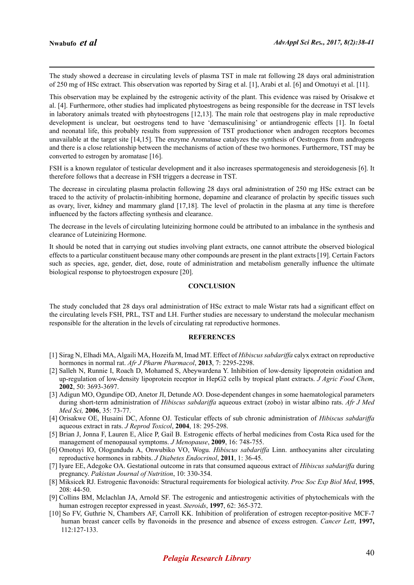The study showed a decrease in circulating levels of plasma TST in male rat following 28 days oral administration of 250 mg of HSc extract. This observation was reported by Sirag et al. [1], Arabi et al. [6] and Omotuyi et al. [11].

This observation may be explained by the estrogenic activity of the plant. This evidence was raised by Orisakwe et al. [4]. Furthermore, other studies had implicated phytoestrogens as being responsible for the decrease in TST levels in laboratory animals treated with phytoestrogens [12,13]. The main role that oestrogens play in male reproductive development is unclear, but oestrogens tend to have 'demasculinising' or antiandrogenic effects [1]. In foetal and neonatal life, this probably results from suppression of TST productionor when androgen receptors becomes unavailable at the target site [14,15]. The enzyme Aromatase catalyzes the synthesis of Oestrogens from androgens and there is a close relationship between the mechanisms of action of these two hormones. Furthermore, TST may be converted to estrogen by aromatase [16].

FSH is a known regulator of testicular development and it also increases spermatogenesis and steroidogenesis [6]. It therefore follows that a decrease in FSH triggers a decrease in TST.

The decrease in circulating plasma prolactin following 28 days oral administration of 250 mg HSc extract can be traced to the activity of prolactin-inhibiting hormone, dopamine and clearance of prolactin by specific tissues such as ovary, liver, kidney and mammary gland [17,18]. The level of prolactin in the plasma at any time is therefore influenced by the factors affecting synthesis and clearance.

The decrease in the levels of circulating luteinizing hormone could be attributed to an imbalance in the synthesis and clearance of Luteinizing Hormone.

It should be noted that in carrying out studies involving plant extracts, one cannot attribute the observed biological effects to a particular constituent because many other compounds are present in the plant extracts [19]. Certain Factors such as species, age, gender, diet, dose, route of administration and metabolism generally influence the ultimate biological response to phytoestrogen exposure [20].

#### **CONCLUSION**

The study concluded that 28 days oral administration of HSc extract to male Wistar rats had a significant effect on the circulating levels FSH, PRL, TST and LH. Further studies are necessary to understand the molecular mechanism responsible for the alteration in the levels of circulating rat reproductive hormones.

#### **REFERENCES**

- [1] Sirag N, Elhadi MA, Algaili MA, Hozeifa M, Imad MT. Effect of *Hibiscus sabdariffa* calyx extract on reproductive hormones in normal rat. *Afr J Pharm Pharmacol*, **2013**, 7: 2295-2298.
- [2] Salleh N, Runnie I, Roach D, Mohamed S, Abeywardena Y. Inhibition of low-density lipoprotein oxidation and up-regulation of low-density lipoprotein receptor in HepG2 cells by tropical plant extracts. *J Agric Food Chem*, **2002**, 50: 3693-3697.
- [3] Adigun MO, Ogundipe OD, Anetor JI, Detunde AO. Dose-dependent changes in some haematological parameters during short-term administration of *Hibiscus sabdariffa* aqueous extract (zobo) in wistar albino rats. *Afr J Med Med Sci,* **2006**, 35: 73-77.
- [4] Orisakwe OE, Husaini DC, Afonne OJ. Testicular effects of sub chronic administration of *Hibiscus sabdariffa* aqueous extract in rats. *J Reprod Toxicol*, **2004**, 18: 295-298.
- [5] Brian J, Jonna F, Lauren E, Alice P, Gail B. Estrogenic effects of herbal medicines from Costa Rica used for the management of menopausal symptoms. *J Menopause*, **2009**, 16: 748-755.
- [6] Omotuyi IO, Ologundudu A, Onwubiko VO, Wogu. *Hibiscus sabdariffa* Linn. anthocyanins alter circulating reproductive hormones in rabbits. *J Diabetes Endocrinol*, **2011**, 1: 36-45.
- [7] Iyare EE, Adegoke OA. Gestational outcome in rats that consumed aqueous extract of *Hibiscus sabdariffa* during pregnancy. *Pakistan Journal of Nutrition*, 10: 330-354.
- [8] Miksicek RJ. Estrogenic flavonoids: Structural requirements for biological activity. *Proc Soc Exp Biol Med*, **1995**, 208: 44-50.
- [9] Collins BM, Mclachlan JA, Arnold SF. The estrogenic and antiestrogenic activities of phytochemicals with the human estrogen receptor expressed in yeast. *Steroids*, **1997**, 62: 365-372.
- [10] So FV, Guthrie N, Chambers AF, Carroll KK. Inhibition of proliferation of estrogen receptor-positive MCF-7 human breast cancer cells by flavonoids in the presence and absence of excess estrogen. *Cancer Lett*, **1997,** 112:127-133.